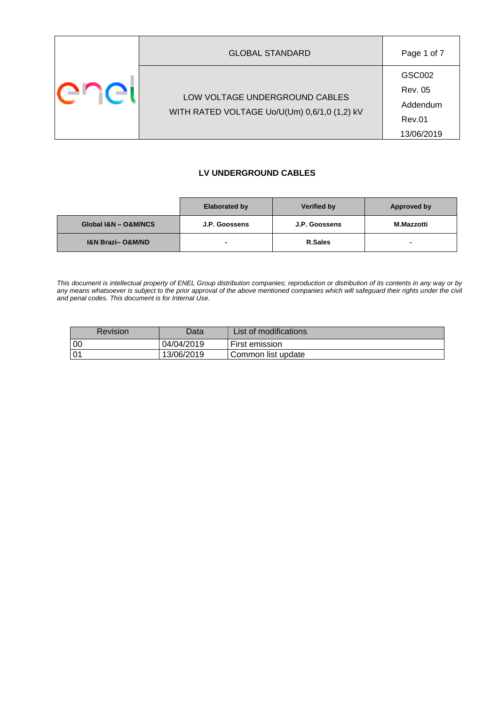| <b>GLOBAL STANDARD</b>                                                         | Page 1 of 7                                                         |
|--------------------------------------------------------------------------------|---------------------------------------------------------------------|
| LOW VOLTAGE UNDERGROUND CABLES<br>WITH RATED VOLTAGE Uo/U(Um) 0,6/1,0 (1,2) kV | GSC002<br><b>Rev. 05</b><br>Addendum<br><b>Rev.01</b><br>13/06/2019 |

#### **LV UNDERGROUND CABLES**

|                                 | <b>Elaborated by</b> | <b>Verified by</b> | Approved by       |
|---------------------------------|----------------------|--------------------|-------------------|
| Global I&N - O&M/NCS            | J.P. Goossens        | J.P. Goossens      | <b>M.Mazzotti</b> |
| <b>I&amp;N Brazi-O&amp;M/ND</b> |                      | R.Sales            | $\blacksquare$    |

*This document is intellectual property of ENEL Group distribution companies; reproduction or distribution of its contents in any way or by*  any means whatsoever is subject to the prior approval of the above mentioned companies which will safeguard their rights under the civil *and penal codes. This document is for Internal Use.*

| Revision     | Data       | List of modifications |
|--------------|------------|-----------------------|
| 00           | 04/04/2019 | First emission        |
| $0^{\prime}$ | 13/06/2019 | Common list update    |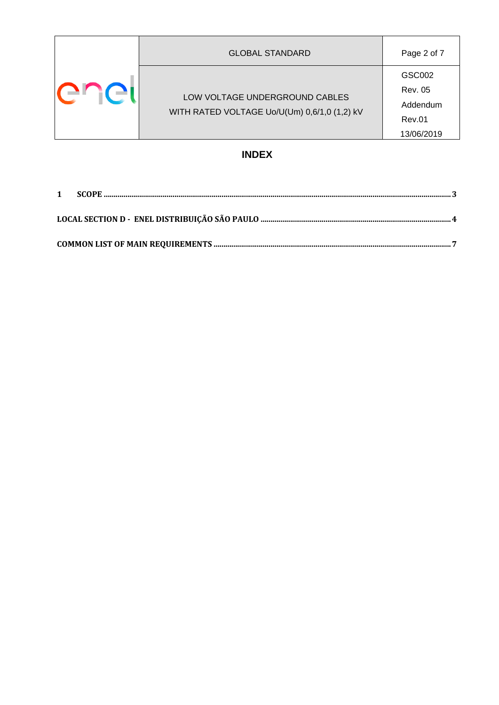|              | <b>GLOBAL STANDARD</b>                                                         | Page 2 of 7                                                         |
|--------------|--------------------------------------------------------------------------------|---------------------------------------------------------------------|
| $\mathbf{H}$ | LOW VOLTAGE UNDERGROUND CABLES<br>WITH RATED VOLTAGE Uo/U(Um) 0,6/1,0 (1,2) kV | GSC002<br><b>Rev. 05</b><br>Addendum<br><b>Rev.01</b><br>13/06/2019 |

# **INDEX**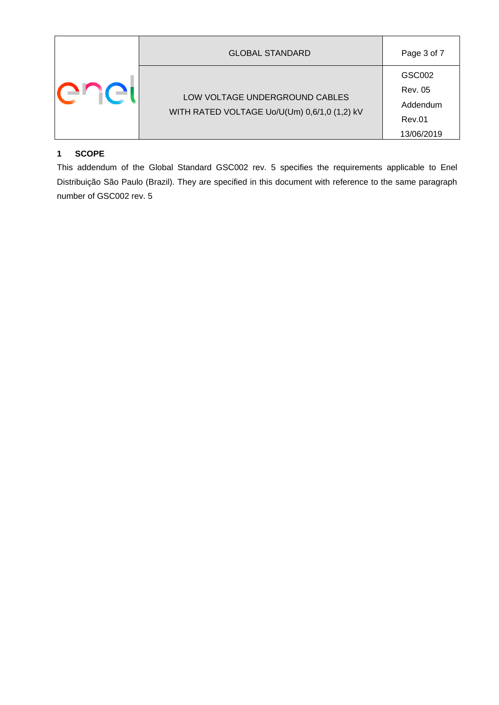|         | <b>GLOBAL STANDARD</b>                                                         | Page 3 of 7                                                  |  |  |  |
|---------|--------------------------------------------------------------------------------|--------------------------------------------------------------|--|--|--|
| i ( - I | LOW VOLTAGE UNDERGROUND CABLES<br>WITH RATED VOLTAGE Uo/U(Um) 0,6/1,0 (1,2) kV | GSC002<br><b>Rev. 05</b><br>Addendum<br>Rev.01<br>13/06/2019 |  |  |  |

### <span id="page-2-0"></span>**1 SCOPE**

This addendum of the Global Standard GSC002 rev. 5 specifies the requirements applicable to Enel Distribuição São Paulo (Brazil). They are specified in this document with reference to the same paragraph number of GSC002 rev. 5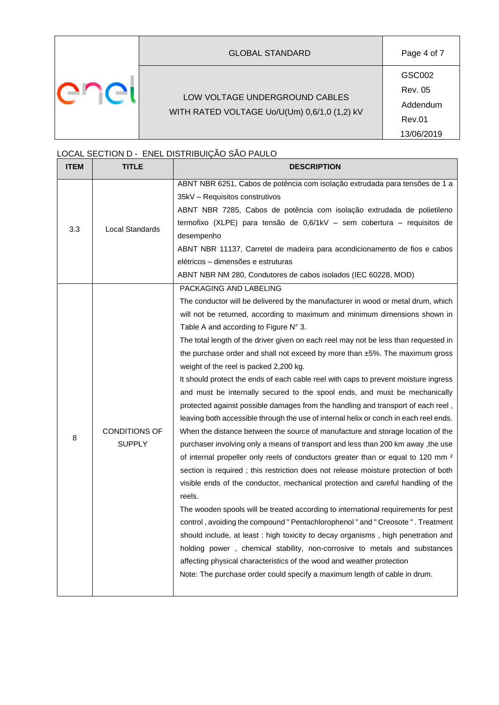|         | <b>GLOBAL STANDARD</b>                                                         | Page 4 of 7                                           |
|---------|--------------------------------------------------------------------------------|-------------------------------------------------------|
| ÷r i( → | LOW VOLTAGE UNDERGROUND CABLES<br>WITH RATED VOLTAGE Uo/U(Um) 0,6/1,0 (1,2) kV | GSC002<br>Rev. 05<br>Addendum<br>Rev.01<br>13/06/2019 |

## <span id="page-3-0"></span>LOCAL SECTION D - ENEL DISTRIBUIÇÃO SÃO PAULO

| <b>ITEM</b> | <b>TITLE</b>                          | <b>DESCRIPTION</b>                                                                                                                                                                                                                                                                                                                                                                                                                                                                                                                                                                                                                                                                                                                                                                                                                                                                                                                                                                                                                                                                                                                                                                                                                                                                                                                                                                                                                                                                                                                                                                                                                                                                                                                                                             |
|-------------|---------------------------------------|--------------------------------------------------------------------------------------------------------------------------------------------------------------------------------------------------------------------------------------------------------------------------------------------------------------------------------------------------------------------------------------------------------------------------------------------------------------------------------------------------------------------------------------------------------------------------------------------------------------------------------------------------------------------------------------------------------------------------------------------------------------------------------------------------------------------------------------------------------------------------------------------------------------------------------------------------------------------------------------------------------------------------------------------------------------------------------------------------------------------------------------------------------------------------------------------------------------------------------------------------------------------------------------------------------------------------------------------------------------------------------------------------------------------------------------------------------------------------------------------------------------------------------------------------------------------------------------------------------------------------------------------------------------------------------------------------------------------------------------------------------------------------------|
| 3.3         | <b>Local Standards</b>                | ABNT NBR 6251, Cabos de potência com isolação extrudada para tensões de 1 a<br>35kV – Requisitos construtivos<br>ABNT NBR 7285, Cabos de potência com isolação extrudada de polietileno<br>termofixo (XLPE) para tensão de 0,6/1kV - sem cobertura - requisitos de<br>desempenho<br>ABNT NBR 11137, Carretel de madeira para acondicionamento de fios e cabos<br>elétricos - dimensões e estruturas<br>ABNT NBR NM 280, Condutores de cabos isolados (IEC 60228, MOD)                                                                                                                                                                                                                                                                                                                                                                                                                                                                                                                                                                                                                                                                                                                                                                                                                                                                                                                                                                                                                                                                                                                                                                                                                                                                                                          |
| 8           | <b>CONDITIONS OF</b><br><b>SUPPLY</b> | PACKAGING AND LABELING<br>The conductor will be delivered by the manufacturer in wood or metal drum, which<br>will not be returned, according to maximum and minimum dimensions shown in<br>Table A and according to Figure $N^{\circ}$ 3.<br>The total length of the driver given on each reel may not be less than requested in<br>the purchase order and shall not exceed by more than $\pm$ 5%. The maximum gross<br>weight of the reel is packed 2,200 kg.<br>It should protect the ends of each cable reel with caps to prevent moisture ingress<br>and must be internally secured to the spool ends, and must be mechanically<br>protected against possible damages from the handling and transport of each reel,<br>leaving both accessible through the use of internal helix or conch in each reel ends.<br>When the distance between the source of manufacture and storage location of the<br>purchaser involving only a means of transport and less than 200 km away, the use<br>of internal propeller only reels of conductors greater than or equal to 120 mm <sup>2</sup><br>section is required; this restriction does not release moisture protection of both<br>visible ends of the conductor, mechanical protection and careful handling of the<br>reels.<br>The wooden spools will be treated according to international requirements for pest<br>control, avoiding the compound " Pentachlorophenol " and " Creosote " . Treatment<br>should include, at least : high toxicity to decay organisms, high penetration and<br>holding power, chemical stability, non-corrosive to metals and substances<br>affecting physical characteristics of the wood and weather protection<br>Note: The purchase order could specify a maximum length of cable in drum. |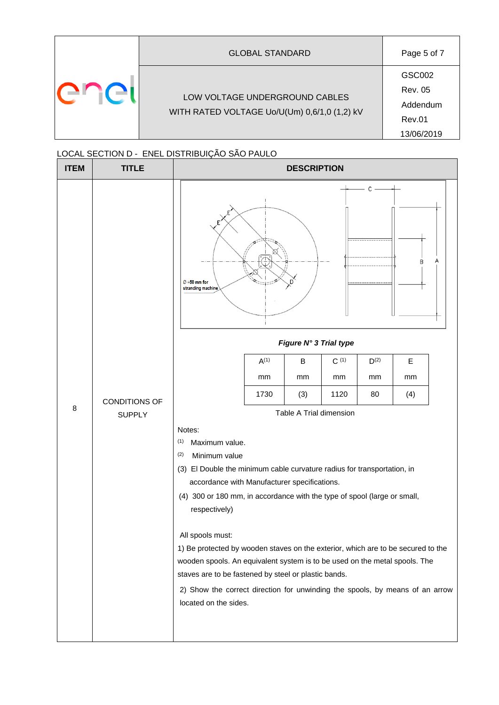| <b>GLOBAL STANDARD</b>                                                         | Page 5 of 7                                                         |
|--------------------------------------------------------------------------------|---------------------------------------------------------------------|
| LOW VOLTAGE UNDERGROUND CABLES<br>WITH RATED VOLTAGE Uo/U(Um) 0,6/1,0 (1,2) kV | GSC002<br><b>Rev. 05</b><br>Addendum<br><b>Rev.01</b><br>13/06/2019 |

#### LOCAL SECTION D - ENEL DISTRIBUIÇÃO SÃO PAULO

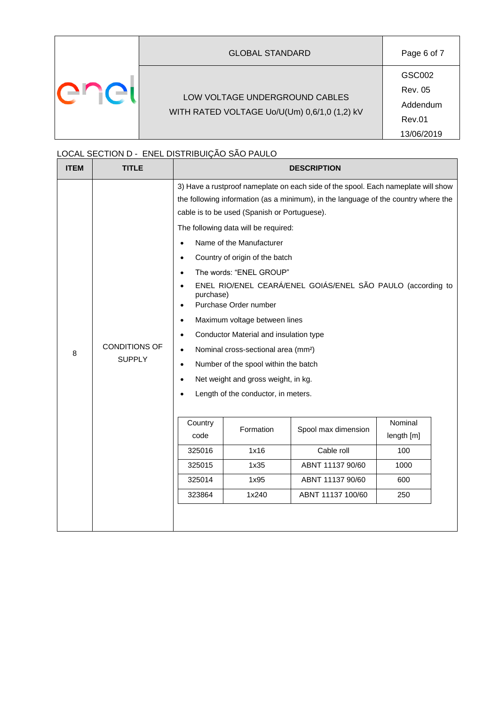|        | <b>GLOBAL STANDARD</b>                                                         | Page 6 of 7                                                  |
|--------|--------------------------------------------------------------------------------|--------------------------------------------------------------|
| er ici | LOW VOLTAGE UNDERGROUND CABLES<br>WITH RATED VOLTAGE Uo/U(Um) 0,6/1,0 (1,2) kV | GSC002<br><b>Rev. 05</b><br>Addendum<br>Rev.01<br>13/06/2019 |

#### LOCAL SECTION D - ENEL DISTRIBUIÇÃO SÃO PAULO

| <b>ITEM</b> | <b>TITLE</b>                          |                                                                                                                                                                                                                                                                                                                                                                                                                                                                                                                                                                                                                                                                                                                                                                                                                                             |                   | <b>DESCRIPTION</b>                |                              |
|-------------|---------------------------------------|---------------------------------------------------------------------------------------------------------------------------------------------------------------------------------------------------------------------------------------------------------------------------------------------------------------------------------------------------------------------------------------------------------------------------------------------------------------------------------------------------------------------------------------------------------------------------------------------------------------------------------------------------------------------------------------------------------------------------------------------------------------------------------------------------------------------------------------------|-------------------|-----------------------------------|------------------------------|
| 8           | <b>CONDITIONS OF</b><br><b>SUPPLY</b> | 3) Have a rustproof nameplate on each side of the spool. Each nameplate will show<br>the following information (as a minimum), in the language of the country where the<br>cable is to be used (Spanish or Portuguese).<br>The following data will be required:<br>Name of the Manufacturer<br>$\bullet$<br>Country of origin of the batch<br>٠<br>The words: "ENEL GROUP"<br>$\bullet$<br>ENEL RIO/ENEL CEARÁ/ENEL GOIÁS/ENEL SÃO PAULO (according to<br>$\bullet$<br>purchase)<br>Purchase Order number<br>$\bullet$<br>Maximum voltage between lines<br>$\bullet$<br>Conductor Material and insulation type<br>$\bullet$<br>Nominal cross-sectional area (mm <sup>2</sup> )<br>$\bullet$<br>Number of the spool within the batch<br>$\bullet$<br>Net weight and gross weight, in kg.<br>$\bullet$<br>Length of the conductor, in meters. |                   |                                   |                              |
|             |                                       | Country<br>code<br>325016                                                                                                                                                                                                                                                                                                                                                                                                                                                                                                                                                                                                                                                                                                                                                                                                                   | Formation<br>1x16 | Spool max dimension<br>Cable roll | Nominal<br>length [m]<br>100 |
|             |                                       | 325015                                                                                                                                                                                                                                                                                                                                                                                                                                                                                                                                                                                                                                                                                                                                                                                                                                      | 1x35              | ABNT 11137 90/60                  | 1000                         |
|             |                                       | 325014                                                                                                                                                                                                                                                                                                                                                                                                                                                                                                                                                                                                                                                                                                                                                                                                                                      | 1x95              | ABNT 11137 90/60                  | 600                          |
|             |                                       | 323864                                                                                                                                                                                                                                                                                                                                                                                                                                                                                                                                                                                                                                                                                                                                                                                                                                      | 1x240             | ABNT 11137 100/60                 | 250                          |
|             |                                       |                                                                                                                                                                                                                                                                                                                                                                                                                                                                                                                                                                                                                                                                                                                                                                                                                                             |                   |                                   |                              |